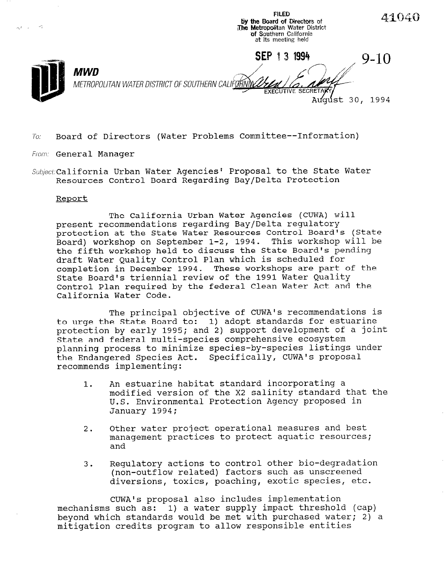by the Board of Directors of  $\overline{a}$  is the  $\overline{a}$ The Metropolitan Water Distri **of Southern Califor** at its meeting held SEP 1 3 1994 9-10 MWD METROPOLITAN WATER DISTRICT OF SOUTHERN CALIFORNIA **EXECUTIVE** August 30, 1994

FILED

41040

 $To:$  Board of Directors (Water Problems Committee--Information)

From: General Manager

Subject: California Urban Water Agencies' Proposal to the State Water Resources Control Board Regarding Bay/Delta Protection

## Report

The California Urban Water Agencies (CUWA) will present recommendations regarding Bay/Delta regulatory protection at the State Water Resources Control Board's (State Board) workshop on September 1-2, 1994. This workshop will be the fifth workshop held to discuss the State Board's pending draft Water Quality Control Plan which is scheduled for completion in December 1994. These workshops are part of the State Board's triennial review of the 1991 Water Quality Control Plan required by the federal Clean Water Act and the California Water Code.

The principal objective of CUWA's recommendations is to urge the State Board to: 1) adopt standards for estuarine protection by early 1995; and 2) support development of a joint State and federal multi-species comprehensive ecosystem planning process to minimize species-by-species listings under the Endangered Species Act. Specifically, CUWA's proposal recommends implementing:

- 1. An estuarine habitat standard incorporating a modified version of the X2 salinity standard that the U.S. Environmental Protection Agency proposed in January 1994;
- 2. Other water project operational measures and best management practices to protect aquatic resources; and
- 3. Regulatory actions to control other bio-degradation (non-outflow related) factors such as unscreened diversions, toxics, poaching, exotic species, etc.

CUWAls proposal also includes implementation mechanisms such as: 1) a water supply impact threshold (cap) beyond which standards would be met with purchased water; 2) a mitigation credits program to allow responsible entities